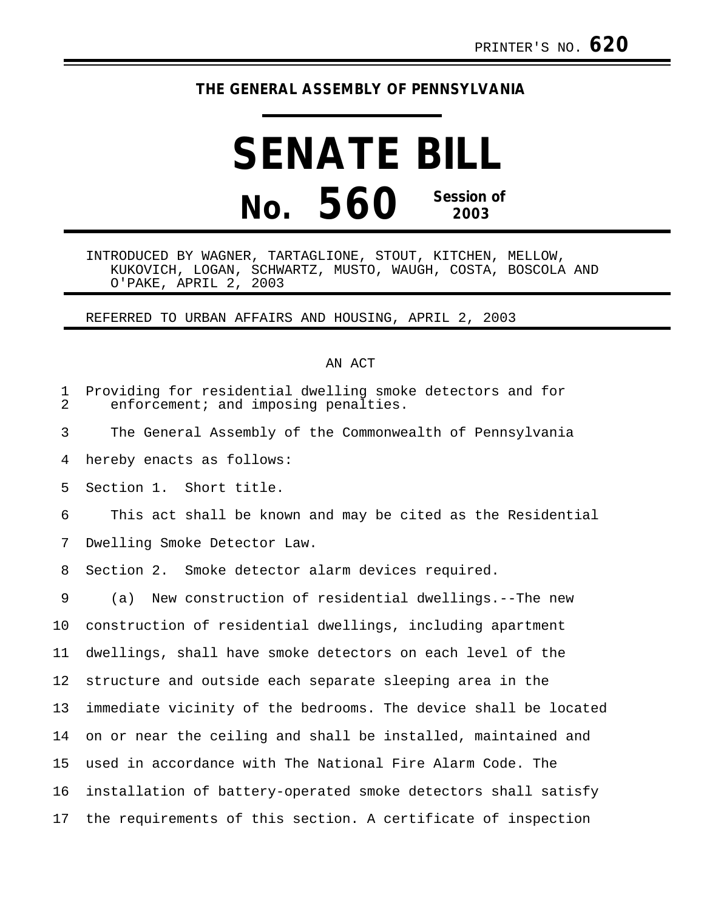## **THE GENERAL ASSEMBLY OF PENNSYLVANIA**

## **SENATE BILL No. 560 Session of 2003**

INTRODUCED BY WAGNER, TARTAGLIONE, STOUT, KITCHEN, MELLOW, KUKOVICH, LOGAN, SCHWARTZ, MUSTO, WAUGH, COSTA, BOSCOLA AND O'PAKE, APRIL 2, 2003

REFERRED TO URBAN AFFAIRS AND HOUSING, APRIL 2, 2003

## AN ACT

| 1<br>2 | Providing for residential dwelling smoke detectors and for<br>enforcement; and imposing penalties. |
|--------|----------------------------------------------------------------------------------------------------|
| 3      | The General Assembly of the Commonwealth of Pennsylvania                                           |
| 4      | hereby enacts as follows:                                                                          |
| 5      | Section 1. Short title.                                                                            |
| 6      | This act shall be known and may be cited as the Residential                                        |
| 7      | Dwelling Smoke Detector Law.                                                                       |
| 8      | Section 2. Smoke detector alarm devices required.                                                  |
| 9      | New construction of residential dwellings.--The new<br>(a)                                         |
| 10     | construction of residential dwellings, including apartment                                         |
| 11     | dwellings, shall have smoke detectors on each level of the                                         |
| 12     | structure and outside each separate sleeping area in the                                           |
| 13     | immediate vicinity of the bedrooms. The device shall be located                                    |
| 14     | on or near the ceiling and shall be installed, maintained and                                      |
| 15     | used in accordance with The National Fire Alarm Code. The                                          |
| 16     | installation of battery-operated smoke detectors shall satisfy                                     |
| 17     | the requirements of this section. A certificate of inspection                                      |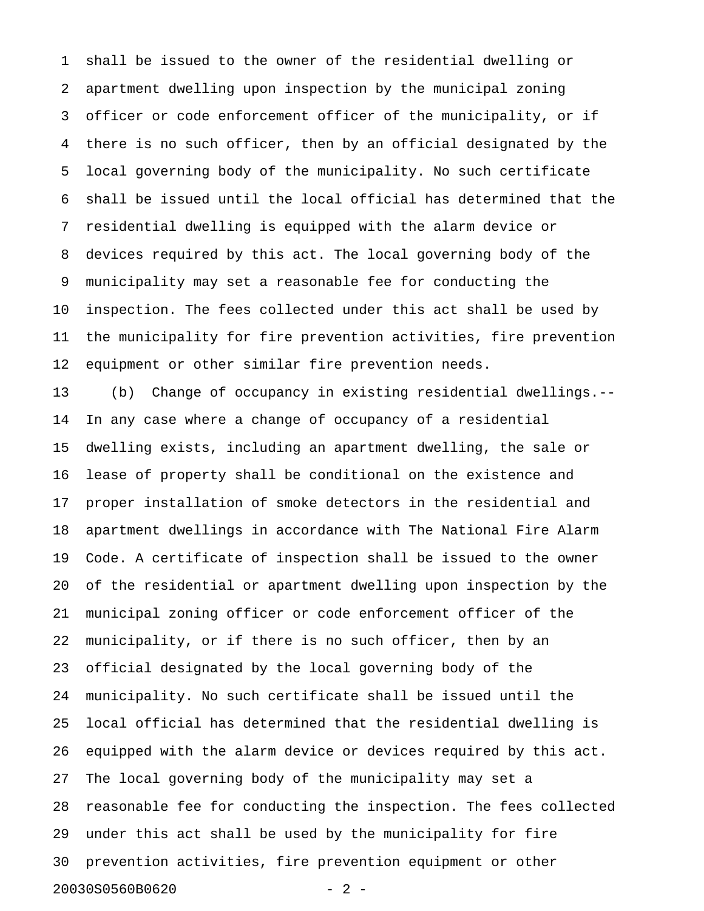1 shall be issued to the owner of the residential dwelling or 2 apartment dwelling upon inspection by the municipal zoning 3 officer or code enforcement officer of the municipality, or if 4 there is no such officer, then by an official designated by the 5 local governing body of the municipality. No such certificate 6 shall be issued until the local official has determined that the 7 residential dwelling is equipped with the alarm device or 8 devices required by this act. The local governing body of the 9 municipality may set a reasonable fee for conducting the 10 inspection. The fees collected under this act shall be used by 11 the municipality for fire prevention activities, fire prevention 12 equipment or other similar fire prevention needs.

13 (b) Change of occupancy in existing residential dwellings.-- 14 In any case where a change of occupancy of a residential 15 dwelling exists, including an apartment dwelling, the sale or 16 lease of property shall be conditional on the existence and 17 proper installation of smoke detectors in the residential and 18 apartment dwellings in accordance with The National Fire Alarm 19 Code. A certificate of inspection shall be issued to the owner 20 of the residential or apartment dwelling upon inspection by the 21 municipal zoning officer or code enforcement officer of the 22 municipality, or if there is no such officer, then by an 23 official designated by the local governing body of the 24 municipality. No such certificate shall be issued until the 25 local official has determined that the residential dwelling is 26 equipped with the alarm device or devices required by this act. 27 The local governing body of the municipality may set a 28 reasonable fee for conducting the inspection. The fees collected 29 under this act shall be used by the municipality for fire 30 prevention activities, fire prevention equipment or other 20030S0560B0620 - 2 -